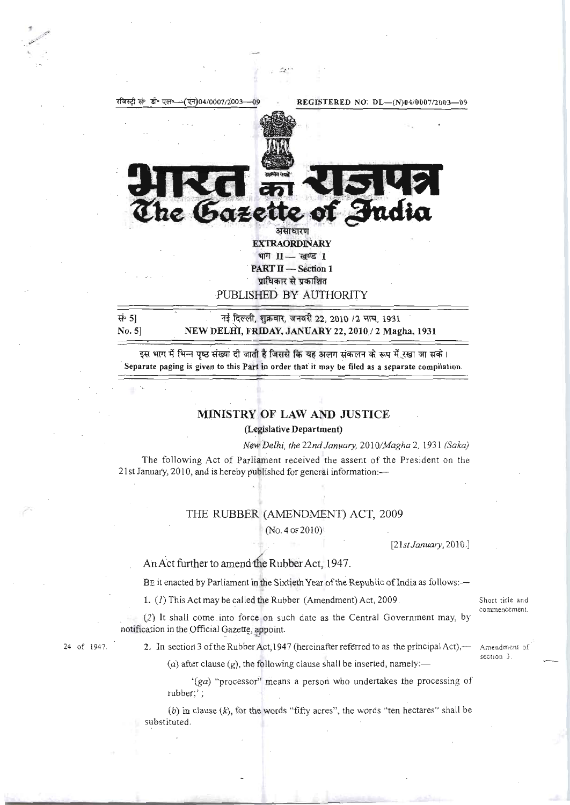

.::: - .

हस भाग में भिन्न पृष्ठ संख्या दी जाती है जिससे कि यह अलग संकलन के रूप में रखा जा सके। Separate paging is given to this Part in order that it may be filed as a separate compilation.

## MINISTRY OF LAW AND JUSTICE

(Legislative Department)

*New Delhi, the 22nd January,* 201 *OIMagha* 2, 1931 *(Saka)*  The following Act of Parliament received the assent of the President on the 21 st January, 2010, and is hereby published for general information:-

## THE RUBBER (AMENDMENT) ACT, 2009

(No.40F2010)

[21*st January*, 2010.]

## An Act further to amend the Rubber Act, 1947.

BE it enacted by Parliament in the Sixtieth Year of the Republic of India as follows :-

1. (1) This Act may be called the Rubber (Amendment) Act, 2009. Short title and

(2) It shall come into force on such date as the Central Government may, by notification in the Official Gazette, appoint.

 $\ddot{\cdot}$  .

24 of 1947. **2.** In section 3 of the Rubber Act, 1947 (hereinafter referred to as the principal Act),  $-$  Amendment of

(a) after clause  $(g)$ , the following clause shall be inserted, namely:-

'(ga) "processor" means a person who undertakes the processing of rubber;';

(b) in clause  $(k)$ , for the words "fifty acres", the words "ten hectares" shall be substituted .

commencement.

section 3.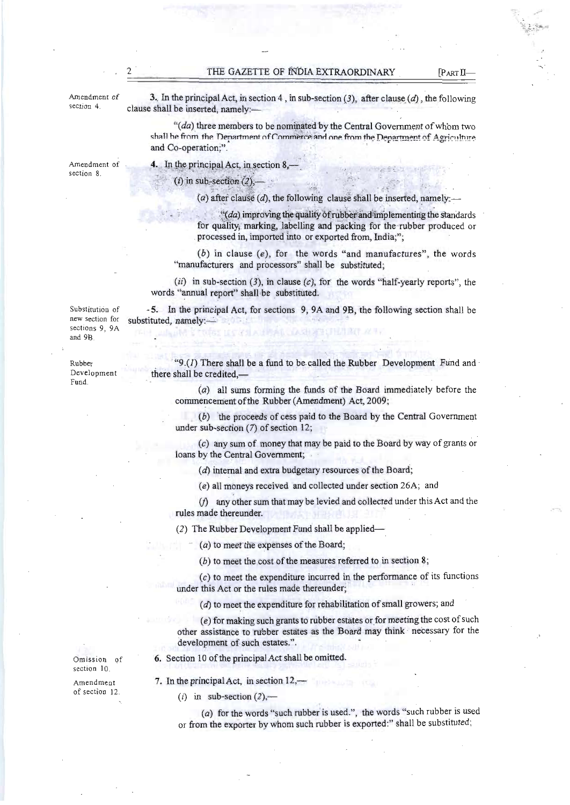Amendment of 3. In the principal Act, in section 4, in sub-section (3), after clause (d), the following section 4. clause shall be inserted, namely:—

 $"$ (da) three members to be nominated by the Central Government of whom two shall he from the Department of Commerce and one from the Department of Agriculture and Co-operation;".

section 8.

Amendment of  $\begin{array}{ccc} \hbox{4. In the principal Act, in section 8,} \end{array}$ 

 $(i)$  in sub-section  $(2)$ ,

(a) after clause (d), the following clause shall be inserted, namely:-

 $"((da)$  improving the quality of rubber and implementing the standards for quality; marking, labelling and packing for the rubber produced or processed in, imported into or exported from, India;";

 $(b)$  in clause  $(e)$ , for the words "and manufactures", the words "manufacturers and processors" shall be substituted;

 $(ii)$  in sub-section (3), in clause (c), for the words "half-yearly reports", the words "annual report" shall be substituted.

Substitution of - 5. In the principal Act, for sections 9, 9A and 9B, the following section shall be substituted, namely:-

new section for sections 9, 9A and 9B.

Fund.

Rubber "9.(1) There shall be a fund to be called the Rubber Development Fund and Development there shall be credited  $\frac{1}{\sqrt{2}}$ there shall be credited,-

> (a) all sums forming the funds of the Board immediately before the commencement ofthe Rubber (Amendment) Act, 2009;

> (b) the proceeds of cess paid to the Board by the Central Government under sub-section (7) of section 12;

> (c) any sum of money that may be paid to the Board by way of grants or loans by the Central Government;

(d) internal and extra budgetary resources of the Board;

(e) all moneys received and collected under section 26A; and

*(j)* any other sum that may be levied and collected under this Act and the rules made thereunder.

(2) The Rubber Development Fund shall be applied

 $(a)$  to meet the expenses of the Board;

 $(b)$  to meet the cost of the measures referred to in section 8;

 $(c)$  to meet the expenditure incurred in the performance of its functions under this Act or the rules made thereunder;

(d) to meet the expenditure for rehabilitation of small growers; and

 $(e)$  for making such grants to rubber estates or for meeting the cost of such other assistance to tubber estates as the Board may think · necessary for the development of such estates.".

Omission of 6. Section 10 of the principal Act shall be omitted.

Amendment 7. In the principal Act, in section 12,-

(i) in sub-section  $(2)$ ,-

(a) for the words "such rubber is used.", the words "such rubber is used or from the exporter by whom such rubber is exported:" shall be substituted:

section 10.

of section 12.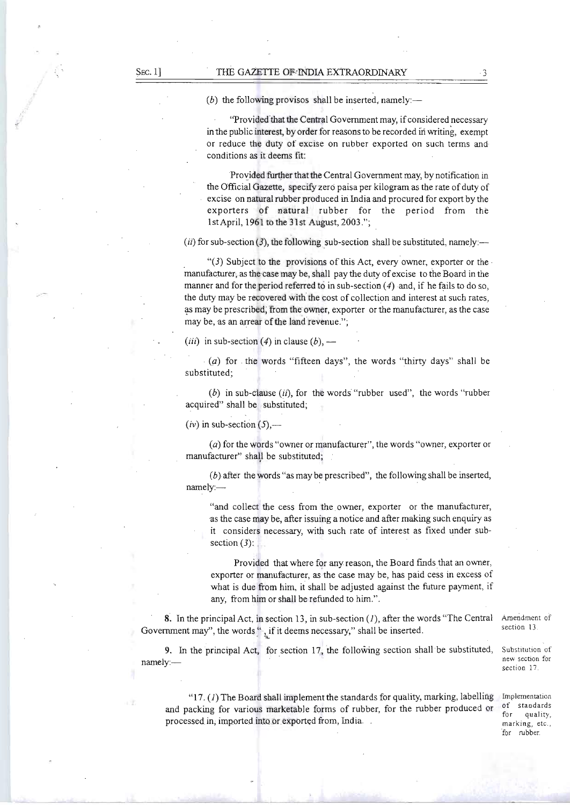(b) the following provisos shall be inserted, namely:—

"Provided that the Central Government may, if considered necessary in the public interest, by order for reasons to be recorded in writing, exempt or reduce the duty of excise on rubber exported on such terms and conditions as it deems fit:

Provided further that the Central Government may, by notification in the Official Gazette, specify zero paisa per kilogram as the rate of duty of excise on natural rubber produced in India and procured for export by the exporters of natural rubber for the period from the 1stApril, 1961 to the 31st August, 2003\_";

 $(i)$  for sub-section (3), the following sub-section shall be substituted, namely:—

" $(3)$  Subject to the provisions of this Act, every owner, exporter or the manufacturer, as the case may be, shall pay the duty of excise to the Board in the manner and for the period referred to in sub-section  $(4)$  and, if he fails to do so, the duty may be recovered with the cost of collection and interest at such rates, as may be prescribed, from the owner, exporter or the manufacturer, as the case may be, as an arrear of the land revenue.";

(*iii*) in sub-section (4) in clause (*b*),  $-$ 

 $(a)$  for the words "fifteen days", the words "thirty days" shall be substituted;

(b) in sub-clause  $(ii)$ , for the words "rubber used", the words "rubber acquired" shall be substituted;

 $(iv)$  in sub-section  $(5)$ ,—

(a) for the words "owner or manufacturer", the words "owner, exporter or manufacturer" shall be substituted;

 $(b)$  after the words "as may be prescribed", the following shall be inserted, namely:

"and collect the cess from the owner, exporter or the manufacturer, -as the case may be, after issuing a notice and after making such enquiry as it considers necessary, with such rate of interest as fixed under subsection  $(3)$ :

Provided that where for any reason, the Board finds that an owner, exporter or manufacturer, as the case may be, has paid cess in excess of what is due from him, it shall be adjusted against the future payment, if any, from him or shall be refunded to him.".

**8.** In the principal Act, in section 13, in sub-section (1), after the words "The Central Government may", the words  $\cdot$ , if it deems necessary," shall be inserted.

9. In the principal Act, for section 17, the following section shall be substituted, namely:

" $17. (1)$  The Board shall implement the standards for quality, marking, labelling and packing for various marketable forms of rubber, for the rubber produced or processed in, imported into or exported from, India.

Amendment of section 13.

Substitution of new section for section 17.

Implementation of standards for quality, marking, etc., for rubber.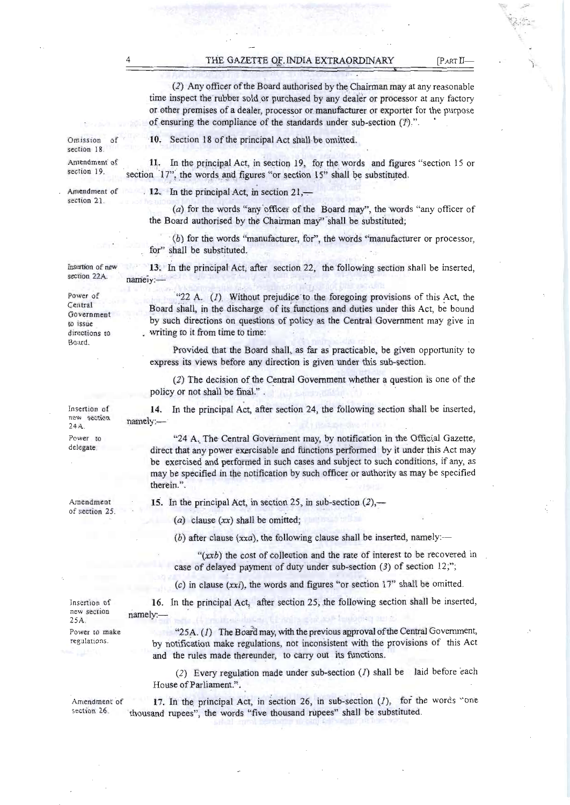THE GAZETTE OF INDIA EXTRAORDINARY [PARTLL-

(2) Any officer ofthe Board authorised by the Chairman may at any reasonable time inspect the rubber sold or purchased by any dealer or processor at any factory or other premises of a dealer, processor ormanufacturer or exporter for the purpose of ensuring the compliance of the standards under sub-section  $(1)$ .".

11. In the principal Act, in section 19, for the words and figures "section 15 or

Omission of section 18

Amendment of section 19.

Amendment of section 21

12. In the principal Act, in section  $21, -$ 

(a) for the words "any officer of the Board may", the words "any officer of the Board authorised by the Chairman may" shall be substituted;

(b) for the words "manufacturer, for", the words "manufacturer or processor, for" shall be substituted.

Insertion of new section 22A. 13. In the principal Act, after section 22, the following section shall be inserted, nameiy:

Section 18 of the principal Act shall be omitted.

section  $17$ ", the words and figures "or section  $15$ " shall be substituted.

"22 A.  $(I)$  Without prejudice to the foregoing provisions of this Act, the Board shall, in the discharge of its functions and duties under this Act, be bound by such directions on questions of policy as the Central Government may give in writing to it from time to time:

Provided that the Board shall, as far as practicable, be given opportunity to express its views before any direction is given under this sub-section.

(2) The decision of the Central Government whether a question is one of the policy or not shall be final.".

14. In the principal Act, after section 24, the following section shall be inserted, namely:-

"24 A. The Central Government may, by notification in the Official Gazette, direct that any power exercisable and functions performed by it under this Act may be exercised and performed in such cases and subject to such conditions, if any, as may be specified in the notification by such officer or authority as may be specified therein.".

Amendment of section 25. 15. In the principal Act, in section 25, in sub-section  $(2)$ ,—

(a) clause  $(xx)$  shall be omitted;

(b) after clause  $(xxa)$ , the following clause shall be inserted, namely:-

 $f(xxb)$  the cost of collection and the rate of interest to be recovered in case of delayed payment of duty under sub-section (3) of section 12;";

 $(c)$  in clause (xxi), the words and figures "or section 17" shall be omitted.

| Insertion of<br>new section<br>$25A$ . | 16. In the principal Act, after section 25, the following section shall be inserted,<br>namely.<br>Profit as discount involvement as Manomay and                         |
|----------------------------------------|--------------------------------------------------------------------------------------------------------------------------------------------------------------------------|
| Power to make<br>regulations.          | " $25A$ . (1) The Board may, with the previous approval of the Central Government,<br>by notification make regulations, not inconsistent with the provisions of this Act |
|                                        | and the rules made thereunder, to carry out its functions.<br>(2) Executed in made under sub section (1) shall be laid before each                                       |

 $(2)$  Every regulation made under sub-section  $(1)$  shall be laid by House of Parliament.".

Amendment of  $17$ . In the principal Act, in section 26, in sub-section (1), for the words "one section 26. thousand rupees", the words "five thousand rupees" shall be substituted.

Power of Central Government to issue directions to Board.

Insertion of new section 24A Power to delegate.